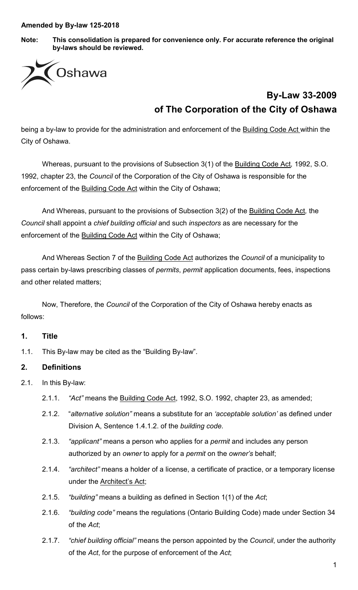**Note: This consolidation is prepared for convenience only. For accurate reference the original by-laws should be reviewed.**



# **By-Law 33-2009 of The Corporation of the City of Oshawa**

being a by-law to provide for the administration and enforcement of the Building Code Act within the City of Oshawa.

Whereas, pursuant to the provisions of Subsection 3(1) of the Building Code Act*,* 1992, S.O. 1992, chapter 23, the *Council* of the Corporation of the City of Oshawa is responsible for the enforcement of the Building Code Act within the City of Oshawa;

And Whereas, pursuant to the provisions of Subsection 3(2) of the Building Code Act*,* the *Council* shall appoint a *chief building official* and such *inspectors* as are necessary for the enforcement of the **Building Code Act** within the City of Oshawa;

And Whereas Section 7 of the Building Code Act authorizes the *Council* of a municipality to pass certain by-laws prescribing classes of *permits*, *permit* application documents, fees, inspections and other related matters;

Now, Therefore, the *Council* of the Corporation of the City of Oshawa hereby enacts as follows:

#### **1. Title**

1.1. This By-law may be cited as the "Building By-law".

#### **2. Definitions**

- 2.1. In this By-law:
	- 2.1.1. *"Act"* means the Building Code Act, 1992, S.O. 1992, chapter 23, as amended;
	- 2.1.2. "*alternative solution"* means a substitute for an *'acceptable solution'* as defined under Division A, Sentence 1.4.1.2. of the *building code.*
	- 2.1.3. *"applicant"* means a person who applies for a *permit* and includes any person authorized by an *owner* to apply for a *permit* on the *owner's* behalf;
	- 2.1.4. *"architect"* means a holder of a license, a certificate of practice, or a temporary license under the **Architect's Act**;
	- 2.1.5. *"building"* means a building as defined in Section 1(1) of the *Act*;
	- 2.1.6. *"building code"* means the regulations (Ontario Building Code) made under Section 34 of the *Act*;
	- 2.1.7. *"chief building official"* means the person appointed by the *Council*, under the authority of the *Act*, for the purpose of enforcement of the *Act*;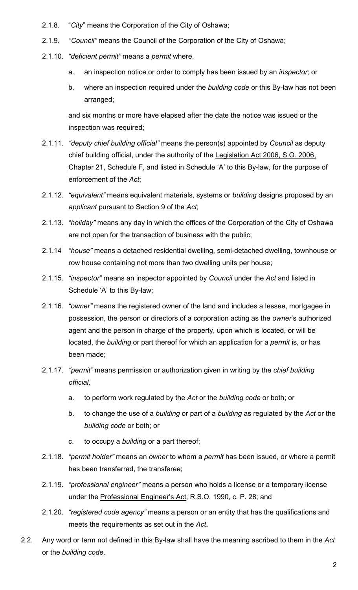- 2.1.8. "*City*" means the Corporation of the City of Oshawa;
- 2.1.9. *"Council"* means the Council of the Corporation of the City of Oshawa;
- 2.1.10. *"deficient permit"* means a *permit* where,
	- a. an inspection notice or order to comply has been issued by an *inspector*; or
	- b. where an inspection required under the *building code* or this By-law has not been arranged;

and six months or more have elapsed after the date the notice was issued or the inspection was required;

- 2.1.11. *"deputy chief building official"* means the person(s) appointed by *Council* as deputy chief building official, under the authority of the Legislation Act 2006, S.O. 2006, Chapter 21, Schedule F, and listed in Schedule 'A' to this By-law, for the purpose of enforcement of the *Act*;
- 2.1.12. *"equivalent"* means equivalent materials, systems or *building* designs proposed by an *applicant* pursuant to Section 9 of the *Act*;
- 2.1.13. *"holiday"* means any day in which the offices of the Corporation of the City of Oshawa are not open for the transaction of business with the public;
- 2.1.14 *"house"* means a detached residential dwelling, semi-detached dwelling, townhouse or row house containing not more than two dwelling units per house;
- 2.1.15. *"inspector"* means an inspector appointed by *Council* under the *Act* and listed in Schedule 'A' to this By-law;
- 2.1.16. *"owner"* means the registered owner of the land and includes a lessee, mortgagee in possession, the person or directors of a corporation acting as the *owner*'s authorized agent and the person in charge of the property, upon which is located, or will be located, the *building* or part thereof for which an application for a *permit* is, or has been made;
- 2.1.17. *"permit"* means permission or authorization given in writing by the *chief building official,*
	- a. to perform work regulated by the *Act* or the *building code* or both; or
	- b. to change the use of a *building* or part of a *building* as regulated by the *Act* or the *building code* or both; or
	- c. to occupy a *building* or a part thereof;
- 2.1.18. *"permit holder"* means an *owner* to whom a *permit* has been issued, or where a permit has been transferred, the transferee;
- 2.1.19. *"professional engineer"* means a person who holds a license or a temporary license under the Professional Engineer's Act, R.S.O. 1990, c. P. 28; and
- 2.1.20. *"registered code agency"* means a person or an entity that has the qualifications and meets the requirements as set out in the *Act***.**
- 2.2. Any word or term not defined in this By-law shall have the meaning ascribed to them in the *Act* or the *building code*.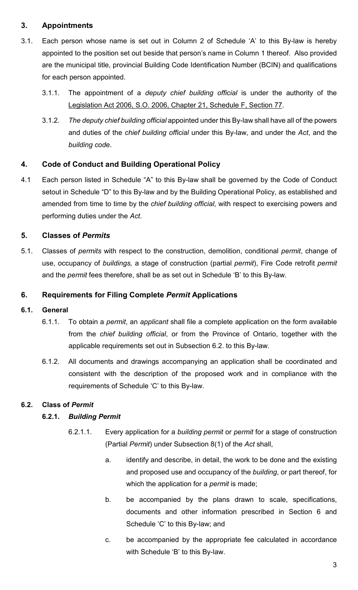## **3. Appointments**

- 3.1. Each person whose name is set out in Column 2 of Schedule 'A' to this By-law is hereby appointed to the position set out beside that person's name in Column 1 thereof. Also provided are the municipal title, provincial Building Code Identification Number (BCIN) and qualifications for each person appointed.
	- 3.1.1. The appointment of a *deputy chief building official* is under the authority of the Legislation Act 2006, S.O. 2006, Chapter 21, Schedule F, Section 77.
	- 3.1.2. *The deputy chief building official* appointed under this By-law shall have all of the powers and duties of the *chief building official* under this By-law, and under the *Act*, and the *building code*.

## **4. Code of Conduct and Building Operational Policy**

4.1 Each person listed in Schedule "A" to this By-law shall be governed by the Code of Conduct setout in Schedule "D" to this By-law and by the Building Operational Policy, as established and amended from time to time by the *chief building official*, with respect to exercising powers and performing duties under the *Act*.

### **5. Classes of** *Permits*

5.1. Classes of *permits* with respect to the construction, demolition, conditional *permit*, change of use, occupancy of *buildings,* a stage of construction (partial *permit*), Fire Code retrofit *permit* and the *permit* fees therefore, shall be as set out in Schedule 'B' to this By-law.

### **6. Requirements for Filing Complete** *Permit* **Applications**

#### **6.1. General**

- 6.1.1. To obtain a *permit*, an *applicant* shall file a complete application on the form available from the *chief building official*, or from the Province of Ontario, together with the applicable requirements set out in Subsection 6.2. to this By-law.
- 6.1.2. All documents and drawings accompanying an application shall be coordinated and consistent with the description of the proposed work and in compliance with the requirements of Schedule 'C' to this By-law.

#### **6.2. Class of** *Permit*

#### **6.2.1.** *Building Permit*

- 6.2.1.1. Every application for a *building permit* or *permit* for a stage of construction (Partial *Permit*) under Subsection 8(1) of the *Act* shall,
	- a. identify and describe, in detail, the work to be done and the existing and proposed use and occupancy of the *building*, or part thereof, for which the application for a *permit* is made;
	- b. be accompanied by the plans drawn to scale, specifications, documents and other information prescribed in Section 6 and Schedule 'C' to this By-law; and
	- c. be accompanied by the appropriate fee calculated in accordance with Schedule 'B' to this By-law.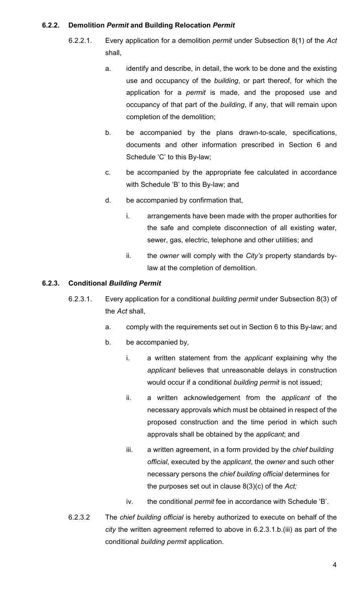#### **6.2.2. Demolition** *Permit* **and Building Relocation** *Permit*

- 6.2.2.1. Every application for a demolition *permit* under Subsection 8(1) of the *Act* shall,
	- a. identify and describe, in detail, the work to be done and the existing use and occupancy of the *building*, or part thereof, for which the application for a *permit* is made, and the proposed use and occupancy of that part of the *building*, if any, that will remain upon completion of the demolition;
	- b. be accompanied by the plans drawn-to-scale, specifications, documents and other information prescribed in Section 6 and Schedule 'C' to this By-law;
	- c. be accompanied by the appropriate fee calculated in accordance with Schedule 'B' to this By-law; and
	- d. be accompanied by confirmation that,
		- i. arrangements have been made with the proper authorities for the safe and complete disconnection of all existing water, sewer, gas, electric, telephone and other utilities; and
		- ii. the *owner* will comply with the *City's* property standards bylaw at the completion of demolition.

#### **6.2.3. Conditional** *Building Permit*

- 6.2.3.1. Every application for a conditional *building permit* under Subsection 8(3) of the *Act* shall,
	- a. comply with the requirements set out in Section 6 to this By-law; and
	- b. be accompanied by,
		- i. a written statement from the *applicant* explaining why the *applicant* believes that unreasonable delays in construction would occur if a conditional *building permit* is not issued;
		- ii. a written acknowledgement from the *applicant* of the necessary approvals which must be obtained in respect of the proposed construction and the time period in which such approvals shall be obtained by the *applicant*; and
		- iii. a written agreement, in a form provided by the *chief building official*, executed by the *applicant*, the *owner* and such other necessary persons the *chief building official* determines for the purposes set out in clause 8(3)(c) of the *Act;*
		- iv. the conditional *permit* fee in accordance with Schedule 'B'.
- 6.2.3.2 The *chief building official* is hereby authorized to execute on behalf of the *city* the written agreement referred to above in 6.2.3.1.b.(iii) as part of the conditional *building permit* application.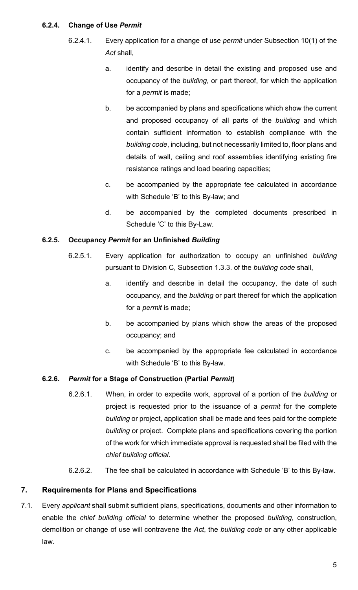#### **6.2.4. Change of Use** *Permit*

- 6.2.4.1. Every application for a change of use *permit* under Subsection 10(1) of the *Act* shall,
	- a. identify and describe in detail the existing and proposed use and occupancy of the *building*, or part thereof, for which the application for a *permit* is made;
	- b. be accompanied by plans and specifications which show the current and proposed occupancy of all parts of the *building* and which contain sufficient information to establish compliance with the *building code*, including, but not necessarily limited to, floor plans and details of wall, ceiling and roof assemblies identifying existing fire resistance ratings and load bearing capacities;
	- c. be accompanied by the appropriate fee calculated in accordance with Schedule 'B' to this By-law; and
	- d. be accompanied by the completed documents prescribed in Schedule 'C' to this By-Law.

### **6.2.5. Occupancy** *Permit* **for an Unfinished** *Building*

- 6.2.5.1. Every application for authorization to occupy an unfinished *building* pursuant to Division C, Subsection 1.3.3. of the *building code* shall,
	- a. identify and describe in detail the occupancy, the date of such occupancy, and the *building* or part thereof for which the application for a *permit* is made;
	- b. be accompanied by plans which show the areas of the proposed occupancy; and
	- c. be accompanied by the appropriate fee calculated in accordance with Schedule 'B' to this By-law.

## **6.2.6.** *Permit* **for a Stage of Construction (Partial** *Permit***)**

- 6.2.6.1. When, in order to expedite work, approval of a portion of the *building* or project is requested prior to the issuance of a *permit* for the complete *building* or project, application shall be made and fees paid for the complete *building* or project. Complete plans and specifications covering the portion of the work for which immediate approval is requested shall be filed with the *chief building official*.
- 6.2.6.2. The fee shall be calculated in accordance with Schedule 'B' to this By-law.

## **7. Requirements for Plans and Specifications**

7.1. Every *applicant* shall submit sufficient plans, specifications, documents and other information to enable the *chief building official* to determine whether the proposed *building*, construction, demolition or change of use will contravene the *Act*, the *building code* or any other applicable law.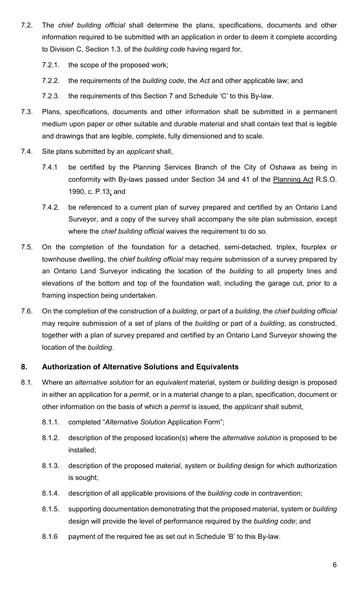- 7.2. The *chief building official* shall determine the plans, specifications, documents and other information required to be submitted with an application in order to deem it complete according to Division C, Section 1.3. of the *building code* having regard for,
	- 7.2.1. the scope of the proposed work;
	- 7.2.2. the requirements of the *building code*, the *Act* and other applicable law; and
	- 7.2.3. the requirements of this Section 7 and Schedule 'C' to this By-law.
- 7.3. Plans, specifications, documents and other information shall be submitted in a permanent medium upon paper or other suitable and durable material and shall contain text that is legible and drawings that are legible, complete, fully dimensioned and to scale.
- 7.4. Site plans submitted by an *applicant* shall,
	- 7.4.1 be certified by the Planning Services Branch of the City of Oshawa as being in conformity with By-laws passed under Section 34 and 41 of the Planning Act R.S.O. 1990, c. P.13; and
	- 7.4.2. be referenced to a current plan of survey prepared and certified by an Ontario Land Surveyor, and a copy of the survey shall accompany the site plan submission, except where the *chief building official* waives the requirement to do so.
- 7.5. On the completion of the foundation for a detached, semi-detached, triplex, fourplex or townhouse dwelling, the *chief building official* may require submission of a survey prepared by an Ontario Land Surveyor indicating the location of the *building* to all property lines and elevations of the bottom and top of the foundation wall, including the garage cut, prior to a framing inspection being undertaken.
- 7.6. On the completion of the construction of a *building*, or part of a *building*, the *chief building official* may require submission of a set of plans of the *building* or part of a *building*, as constructed, together with a plan of survey prepared and certified by an Ontario Land Surveyor showing the location of the *building*.

#### **8. Authorization of Alternative Solutions and Equivalents**

- 8.1. Where an *alternative solution* for an *equivalent* material, system or *building* design is proposed in either an application for a *permit*, or in a material change to a plan, specification, document or other information on the basis of which a *permit* is issued, the *applicant* shall submit,
	- 8.1.1. completed "*Alternative Solution* Application Form";
	- 8.1.2. description of the proposed location(s) where the *alternative solution* is proposed to be installed;
	- 8.1.3. description of the proposed material, system or *building* design for which authorization is sought;
	- 8.1.4. description of all applicable provisions of the *building code* in contravention;
	- 8.1.5. supporting documentation demonstrating that the proposed material, system or *building* design will provide the level of performance required by the *building code*; and
	- 8.1.6 payment of the required fee as set out in Schedule 'B' to this By-law.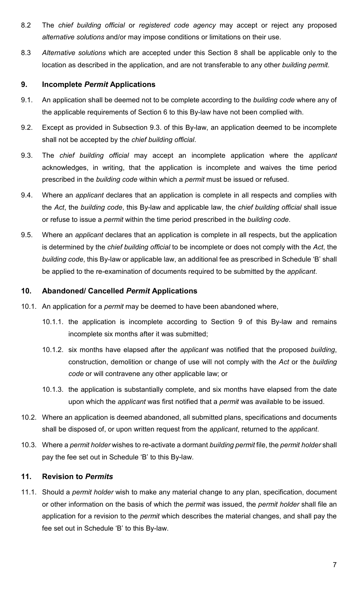- 8.2 The *chief building official* or *registered code agency* may accept or reject any proposed *alternative solutions* and/or may impose conditions or limitations on their use.
- 8.3 *Alternative solutions* which are accepted under this Section 8 shall be applicable only to the location as described in the application, and are not transferable to any other *building permit*.

#### **9. Incomplete** *Permit* **Applications**

- 9.1. An application shall be deemed not to be complete according to the *building code* where any of the applicable requirements of Section 6 to this By-law have not been complied with.
- 9.2. Except as provided in Subsection 9.3. of this By-law, an application deemed to be incomplete shall not be accepted by the *chief building official*.
- 9.3. The *chief building official* may accept an incomplete application where the *applicant* acknowledges, in writing, that the application is incomplete and waives the time period prescribed in the *building code* within which a *permit* must be issued or refused.
- 9.4. Where an *applicant* declares that an application is complete in all respects and complies with the *Act*, the *building code*, this By-law and applicable law, the *chief building official* shall issue or refuse to issue a *permit* within the time period prescribed in the *building code*.
- 9.5. Where an *applicant* declares that an application is complete in all respects, but the application is determined by the *chief building official* to be incomplete or does not comply with the *Act*, the *building code*, this By-law or applicable law, an additional fee as prescribed in Schedule 'B' shall be applied to the re-examination of documents required to be submitted by the *applicant*.

#### **10. Abandoned/ Cancelled** *Permit* **Applications**

- 10.1. An application for a *permit* may be deemed to have been abandoned where,
	- 10.1.1. the application is incomplete according to Section 9 of this By-law and remains incomplete six months after it was submitted;
	- 10.1.2. six months have elapsed after the *applicant* was notified that the proposed *building*, construction, demolition or change of use will not comply with the *Act* or the *building code* or will contravene any other applicable law; or
	- 10.1.3. the application is substantially complete, and six months have elapsed from the date upon which the *applicant* was first notified that a *permit* was available to be issued.
- 10.2. Where an application is deemed abandoned, all submitted plans, specifications and documents shall be disposed of, or upon written request from the *applicant*, returned to the *applicant*.
- 10.3. Where a *permit holder* wishes to re-activate a dormant *building permit* file, the *permit holder* shall pay the fee set out in Schedule 'B' to this By-law.

#### **11. Revision to** *Permits*

11.1. Should a *permit holder* wish to make any material change to any plan, specification, document or other information on the basis of which the *permit* was issued, the *permit holder* shall file an application for a revision to the *permit* which describes the material changes, and shall pay the fee set out in Schedule 'B' to this By-law.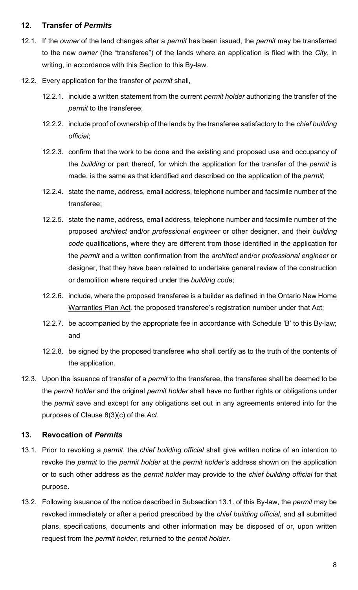#### **12. Transfer of** *Permits*

- 12.1. If the *owner* of the land changes after a *permit* has been issued, the *permit* may be transferred to the new *owner* (the "transferee") of the lands where an application is filed with the *City*, in writing, in accordance with this Section to this By-law.
- 12.2. Every application for the transfer of *permit* shall,
	- 12.2.1. include a written statement from the current *permit holder* authorizing the transfer of the *permit* to the transferee;
	- 12.2.2. include proof of ownership of the lands by the transferee satisfactory to the *chief building official*;
	- 12.2.3. confirm that the work to be done and the existing and proposed use and occupancy of the *building* or part thereof, for which the application for the transfer of the *permit* is made, is the same as that identified and described on the application of the *permit*;
	- 12.2.4. state the name, address, email address, telephone number and facsimile number of the transferee;
	- 12.2.5. state the name, address, email address, telephone number and facsimile number of the proposed *architect* and/or *professional engineer* or other designer, and their *building code* qualifications, where they are different from those identified in the application for the *permit* and a written confirmation from the *architect* and/or *professional engineer* or designer, that they have been retained to undertake general review of the construction or demolition where required under the *building code*;
	- 12.2.6. include, where the proposed transferee is a builder as defined in the Ontario New Home Warranties Plan Act*,* the proposed transferee's registration number under that Act;
	- 12.2.7. be accompanied by the appropriate fee in accordance with Schedule 'B' to this By-law; and
	- 12.2.8. be signed by the proposed transferee who shall certify as to the truth of the contents of the application.
- 12.3. Upon the issuance of transfer of a *permit* to the transferee, the transferee shall be deemed to be the *permit holder* and the original *permit holder* shall have no further rights or obligations under the *permit* save and except for any obligations set out in any agreements entered into for the purposes of Clause 8(3)(c) of the *Act*.

#### **13. Revocation of** *Permits*

- 13.1. Prior to revoking a *permit*, the *chief building official* shall give written notice of an intention to revoke the *permit* to the *permit holder* at the *permit holder's* address shown on the application or to such other address as the *permit holder* may provide to the *chief building official* for that purpose.
- 13.2. Following issuance of the notice described in Subsection 13.1. of this By-law, the *permit* may be revoked immediately or after a period prescribed by the *chief building official,* and all submitted plans, specifications, documents and other information may be disposed of or, upon written request from the *permit holder*, returned to the *permit holder*.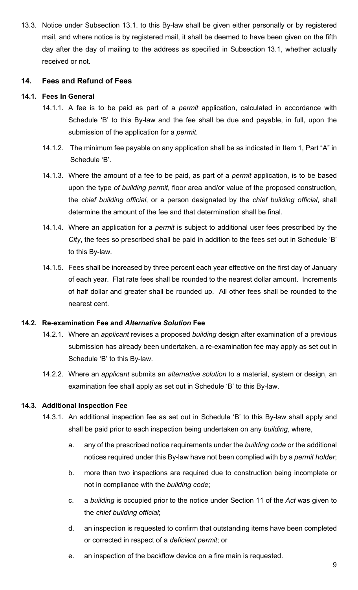13.3. Notice under Subsection 13.1. to this By-law shall be given either personally or by registered mail, and where notice is by registered mail, it shall be deemed to have been given on the fifth day after the day of mailing to the address as specified in Subsection 13.1, whether actually received or not.

#### **14. Fees and Refund of Fees**

#### **14.1. Fees In General**

- 14.1.1. A fee is to be paid as part of a *permit* application, calculated in accordance with Schedule 'B' to this By-law and the fee shall be due and payable, in full, upon the submission of the application for a *permit*.
- 14.1.2. The minimum fee payable on any application shall be as indicated in Item 1, Part "A" in Schedule 'B'.
- 14.1.3. Where the amount of a fee to be paid, as part of a *permit* application, is to be based upon the type *of building permit*, floor area and/or value of the proposed construction, the *chief building official*, or a person designated by the *chief building official*, shall determine the amount of the fee and that determination shall be final.
- 14.1.4. Where an application for a *permit* is subject to additional user fees prescribed by the *City*, the fees so prescribed shall be paid in addition to the fees set out in Schedule 'B' to this By-law.
- 14.1.5. Fees shall be increased by three percent each year effective on the first day of January of each year. Flat rate fees shall be rounded to the nearest dollar amount. Increments of half dollar and greater shall be rounded up. All other fees shall be rounded to the nearest cent.

#### **14.2. Re-examination Fee and** *Alternative Solution* **Fee**

- 14.2.1. Where an *applicant* revises a proposed *building* design after examination of a previous submission has already been undertaken, a re-examination fee may apply as set out in Schedule 'B' to this By-law.
- 14.2.2. Where an *applicant* submits an *alternative solution* to a material, system or design, an examination fee shall apply as set out in Schedule 'B' to this By-law.

#### **14.3. Additional Inspection Fee**

- 14.3.1. An additional inspection fee as set out in Schedule 'B' to this By-law shall apply and shall be paid prior to each inspection being undertaken on any *building*, where,
	- a. any of the prescribed notice requirements under the *building code* or the additional notices required under this By-law have not been complied with by a *permit holder*;
	- b. more than two inspections are required due to construction being incomplete or not in compliance with the *building code*;
	- c. a *building* is occupied prior to the notice under Section 11 of the *Act* was given to the *chief building official*;
	- d. an inspection is requested to confirm that outstanding items have been completed or corrected in respect of a *deficient permit*; or
	- e. an inspection of the backflow device on a fire main is requested.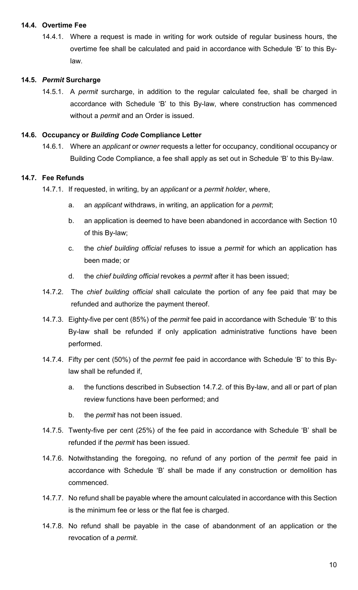#### **14.4. Overtime Fee**

14.4.1. Where a request is made in writing for work outside of regular business hours, the overtime fee shall be calculated and paid in accordance with Schedule 'B' to this Bylaw.

#### **14.5.** *Permit* **Surcharge**

14.5.1. A *permit* surcharge, in addition to the regular calculated fee, shall be charged in accordance with Schedule 'B' to this By-law, where construction has commenced without a *permit* and an Order is issued.

#### **14.6. Occupancy or** *Building Code* **Compliance Letter**

14.6.1. Where an *applicant* or *owner* requests a letter for occupancy, conditional occupancy or Building Code Compliance, a fee shall apply as set out in Schedule 'B' to this By-law.

#### **14.7. Fee Refunds**

- 14.7.1. If requested, in writing, by an *applicant* or a *permit holder*, where,
	- a. an *applicant* withdraws, in writing, an application for a *permit*;
	- b. an application is deemed to have been abandoned in accordance with Section 10 of this By-law;
	- c. the *chief building official* refuses to issue a *permit* for which an application has been made; or
	- d. the *chief building official* revokes a *permit* after it has been issued;
- 14.7.2. The *chief building official* shall calculate the portion of any fee paid that may be refunded and authorize the payment thereof.
- 14.7.3. Eighty-five per cent (85%) of the *permit* fee paid in accordance with Schedule 'B' to this By-law shall be refunded if only application administrative functions have been performed.
- 14.7.4. Fifty per cent (50%) of the *permit* fee paid in accordance with Schedule 'B' to this Bylaw shall be refunded if,
	- a. the functions described in Subsection 14.7.2. of this By-law, and all or part of plan review functions have been performed; and
	- b. the *permit* has not been issued.
- 14.7.5. Twenty-five per cent (25%) of the fee paid in accordance with Schedule 'B' shall be refunded if the *permit* has been issued.
- 14.7.6. Notwithstanding the foregoing, no refund of any portion of the *permit* fee paid in accordance with Schedule 'B' shall be made if any construction or demolition has commenced.
- 14.7.7. No refund shall be payable where the amount calculated in accordance with this Section is the minimum fee or less or the flat fee is charged.
- 14.7.8. No refund shall be payable in the case of abandonment of an application or the revocation of a *permit*.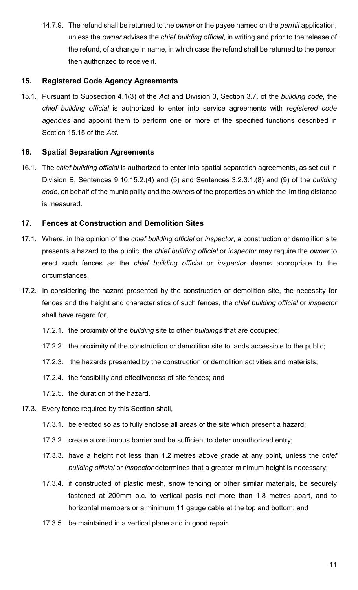14.7.9. The refund shall be returned to the *owner* or the payee named on the *permit* application, unless the *owner* advises the c*hief building official*, in writing and prior to the release of the refund, of a change in name, in which case the refund shall be returned to the person then authorized to receive it.

#### **15. Registered Code Agency Agreements**

15.1. Pursuant to Subsection 4.1(3) of the *Act* and Division 3, Section 3.7. of the *building code*, the *chief building official* is authorized to enter into service agreements with *registered code agencies* and appoint them to perform one or more of the specified functions described in Section 15.15 of the *Act*.

#### **16. Spatial Separation Agreements**

16.1. The *chief building official* is authorized to enter into spatial separation agreements, as set out in Division B, Sentences 9.10.15.2.(4) and (5) and Sentences 3.2.3.1.(8) and (9) of the *building code,* on behalf of the municipality and the *owner*s of the properties on which the limiting distance is measured.

#### **17. Fences at Construction and Demolition Sites**

- 17.1. Where, in the opinion of the *chief building official* or *inspector*, a construction or demolition site presents a hazard to the public, the *chief building official* or *inspector* may require the *owner* to erect such fences as the *chief building official* or *inspector* deems appropriate to the circumstances.
- 17.2. In considering the hazard presented by the construction or demolition site, the necessity for fences and the height and characteristics of such fences, the *chief building official* or *inspector* shall have regard for,
	- 17.2.1. the proximity of the *building* site to other *buildings* that are occupied;
	- 17.2.2. the proximity of the construction or demolition site to lands accessible to the public;
	- 17.2.3. the hazards presented by the construction or demolition activities and materials;
	- 17.2.4. the feasibility and effectiveness of site fences; and
	- 17.2.5. the duration of the hazard.
- 17.3. Every fence required by this Section shall,
	- 17.3.1. be erected so as to fully enclose all areas of the site which present a hazard;
	- 17.3.2. create a continuous barrier and be sufficient to deter unauthorized entry;
	- 17.3.3. have a height not less than 1.2 metres above grade at any point, unless the *chief building official* or *inspector* determines that a greater minimum height is necessary;
	- 17.3.4. if constructed of plastic mesh, snow fencing or other similar materials, be securely fastened at 200mm o.c. to vertical posts not more than 1.8 metres apart, and to horizontal members or a minimum 11 gauge cable at the top and bottom; and
	- 17.3.5. be maintained in a vertical plane and in good repair.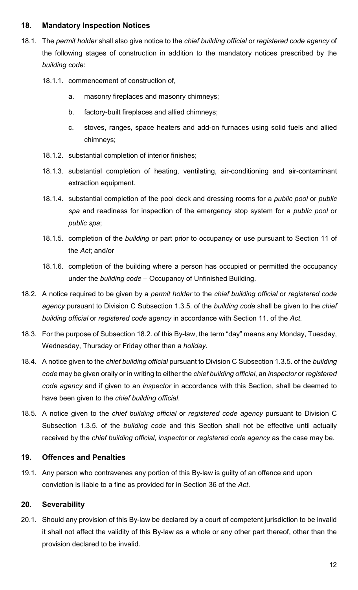#### **18. Mandatory Inspection Notices**

- 18.1. The *permit holder* shall also give notice to the *chief building official* or *registered code agency* of the following stages of construction in addition to the mandatory notices prescribed by the *building code*:
	- 18.1.1. commencement of construction of,
		- a. masonry fireplaces and masonry chimneys;
		- b. factory-built fireplaces and allied chimneys;
		- c. stoves, ranges, space heaters and add-on furnaces using solid fuels and allied chimneys;
	- 18.1.2. substantial completion of interior finishes;
	- 18.1.3. substantial completion of heating, ventilating, air-conditioning and air-contaminant extraction equipment.
	- 18.1.4. substantial completion of the pool deck and dressing rooms for a *public pool* or *public spa* and readiness for inspection of the emergency stop system for a *public pool* or *public spa*;
	- 18.1.5. completion of the *building* or part prior to occupancy or use pursuant to Section 11 of the *Act*; and/or
	- 18.1.6. completion of the building where a person has occupied or permitted the occupancy under the *building code* – Occupancy of Unfinished Building.
- 18.2. A notice required to be given by a *permit holder* to the *chief building official* or *registered code agency* pursuant to Division C Subsection 1.3.5. of the *building code* shall be given to the *chief building official* or *registered code agency* in accordance with Section 11. of the *Act*.
- 18.3. For the purpose of Subsection 18.2. of this By-law, the term "day" means any Monday, Tuesday, Wednesday, Thursday or Friday other than a *holiday*.
- 18.4. A notice given to the *chief building official* pursuant to Division C Subsection 1.3.5. of the *building code* may be given orally or in writing to either the *chief building official*, an *inspector* or *registered code agency* and if given to an *inspector* in accordance with this Section, shall be deemed to have been given to the *chief building official*.
- 18.5. A notice given to the *chief building official* or *registered code agency* pursuant to Division C Subsection 1.3.5. of the *building code* and this Section shall not be effective until actually received by the *chief building official*, *inspector* or *registered code agency* as the case may be.

#### **19. Offences and Penalties**

19.1. Any person who contravenes any portion of this By-law is guilty of an offence and upon conviction is liable to a fine as provided for in Section 36 of the *Act*.

#### **20. Severability**

20.1. Should any provision of this By-law be declared by a court of competent jurisdiction to be invalid it shall not affect the validity of this By-law as a whole or any other part thereof, other than the provision declared to be invalid.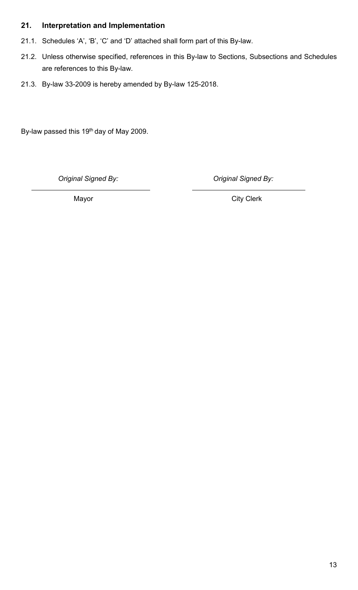## **21. Interpretation and Implementation**

- 21.1. Schedules 'A', 'B', 'C' and 'D' attached shall form part of this By-law.
- 21.2. Unless otherwise specified, references in this By-law to Sections, Subsections and Schedules are references to this By-law.
- 21.3. By-law 33-2009 is hereby amended by By-law 125-2018.

By-law passed this 19<sup>th</sup> day of May 2009.

*Original Signed By: Original Signed By:*

Mayor **Mayor** City Clerk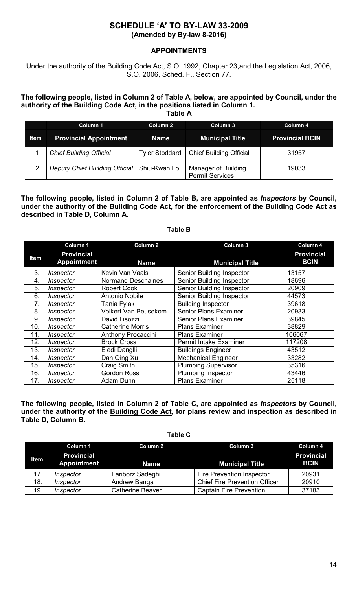#### **SCHEDULE 'A' TO BY-LAW 33-2009 (Amended by By-law 8-2016)**

#### **APPOINTMENTS**

Under the authority of the Building Code Act, S.O. 1992, Chapter 23, and the Legislation Act, 2006, S.O. 2006, Sched. F., Section 77.

#### **The following people, listed in Column 2 of Table A, below, are appointed by Council, under the authority of the Building Code Act, in the positions listed in Column 1.**

**Table A**

|             | Column 1                       | Column 2       | Column 3                                      | Column 4               |
|-------------|--------------------------------|----------------|-----------------------------------------------|------------------------|
| <b>Item</b> | <b>Provincial Appointment</b>  | <b>Name</b>    | <b>Municipal Title</b>                        | <b>Provincial BCIN</b> |
|             | <b>Chief Building Official</b> | Tyler Stoddard | <b>Chief Building Official</b>                | 31957                  |
|             | Deputy Chief Building Official | Shiu-Kwan Lo   | Manager of Building<br><b>Permit Services</b> | 19033                  |

#### **The following people, listed in Column 2 of Table B, are appointed as** *Inspectors* **by Council, under the authority of the Building Code Act, for the enforcement of the Building Code Act as described in Table D, Column A.**

**Table B**

#### **Column 1 Column 2 Column 3 Column 4 Item Provincial Appointment Name Municipal Title Provincial BCIN** 3. *Inspector* | Kevin Van Vaals | Senior Building Inspector | 13157 4. *Inspector* Normand Deschaines Senior Building Inspector 18696<br>18696 - Senior Building Inspector 20909 5. *Inspector* Robert Cook Senior Building Inspector<br>
6. *Inspector* Antonio Nobile Senior Building Inspector 6. *Inspector* Antonio Nobile Senior Building Inspector 44573<br>1. *Inspector* Tania Fylak Building Inspector 39618 7. *Inspector* Tania Fylak Building Inspector<br>
8. *Inspector* Volkert Van Beusekom Senior Plans Exan 8. *Inspector* Volkert Van Beusekom Senior Plans Examiner 20933<br>
9. *Inspector* David Lisozzi Senior Plans Examiner 39845 9. *Inspector* David Lisozzi Senior Plans Examiner 39845<br>
0. *Inspector* Catherine Morris Plans Examiner 38829 10. *Inspector* Catherine Morris Plans Examiner 38829 **Anthony Procaccini** 12. *Inspector* Brock Cross **Permit Intake Examiner** 117208 13. *Inspector* | Eledi Danglli | Buildings Engineer | 43512 14. *Inspector* Dan Qing Xu Mechanical Engineer 33282 **Inspector Craig Smith Plumbing Supervisor 35316**<br> **Inspector Gordon Ross Plumbing Inspector 43446** 16. *Inspector* Gordon Ross Plumbing Inspector 43446 17. *Inspector* Adam Dunn Plans Examiner

**The following people, listed in Column 2 of Table C, are appointed as** *Inspectors* **by Council, under the authority of the Building Code Act, for plans review and inspection as described in Table D, Column B.**

**Table C**

|      | Column 1                                | Column 2                | Column 3                             | Column 4                         |
|------|-----------------------------------------|-------------------------|--------------------------------------|----------------------------------|
| Item | <b>Provincial</b><br><b>Appointment</b> | Name                    | <b>Municipal Title</b>               | <b>Provincial</b><br><b>BCIN</b> |
| 17.  | Inspector                               | Fariborz Sadeghi        | <b>Fire Prevention Inspector</b>     | 20931                            |
| 18.  | Inspector                               | Andrew Banga            | <b>Chief Fire Prevention Officer</b> | 20910                            |
| 19.  | Inspector                               | <b>Catherine Beaver</b> | <b>Captain Fire Prevention</b>       | 37183                            |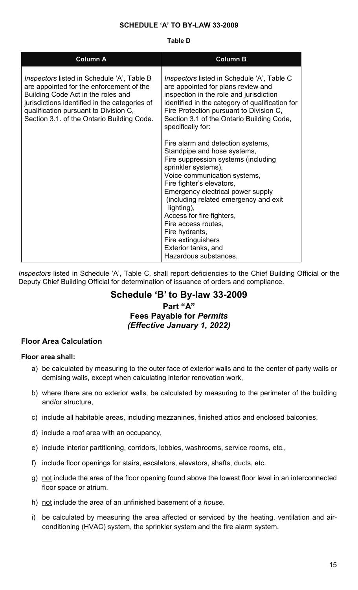#### **SCHEDULE 'A' TO BY-LAW 33-2009**

#### **Table D**

| <b>Column A</b>                                                                                                                                                                                                                                                             | <b>Column B</b>                                                                                                                                                                                                                                                                                                                                                                                                                     |
|-----------------------------------------------------------------------------------------------------------------------------------------------------------------------------------------------------------------------------------------------------------------------------|-------------------------------------------------------------------------------------------------------------------------------------------------------------------------------------------------------------------------------------------------------------------------------------------------------------------------------------------------------------------------------------------------------------------------------------|
| <i>Inspectors</i> listed in Schedule 'A', Table B<br>are appointed for the enforcement of the<br>Building Code Act in the roles and<br>jurisdictions identified in the categories of<br>qualification pursuant to Division C,<br>Section 3.1. of the Ontario Building Code. | <i>Inspectors</i> listed in Schedule 'A', Table C<br>are appointed for plans review and<br>inspection in the role and jurisdiction<br>identified in the category of qualification for<br>Fire Protection pursuant to Division C,<br>Section 3.1 of the Ontario Building Code,<br>specifically for:                                                                                                                                  |
|                                                                                                                                                                                                                                                                             | Fire alarm and detection systems,<br>Standpipe and hose systems,<br>Fire suppression systems (including<br>sprinkler systems),<br>Voice communication systems,<br>Fire fighter's elevators,<br>Emergency electrical power supply<br>(including related emergency and exit<br>lighting),<br>Access for fire fighters,<br>Fire access routes,<br>Fire hydrants,<br>Fire extinguishers<br>Exterior tanks, and<br>Hazardous substances. |

*Inspectors* listed in Schedule 'A', Table C, shall report deficiencies to the Chief Building Official or the Deputy Chief Building Official for determination of issuance of orders and compliance.

## **Schedule 'B' to By-law 33-2009 Part "A"**

## **Fees Payable for** *Permits (Effective January 1, 2022)*

#### **Floor Area Calculation**

#### **Floor area shall:**

- a) be calculated by measuring to the outer face of exterior walls and to the center of party walls or demising walls, except when calculating interior renovation work,
- b) where there are no exterior walls, be calculated by measuring to the perimeter of the building and/or structure,
- c) include all habitable areas, including mezzanines, finished attics and enclosed balconies,
- d) include a roof area with an occupancy,
- e) include interior partitioning, corridors, lobbies, washrooms, service rooms, etc.,
- f) include floor openings for stairs, escalators, elevators, shafts, ducts, etc.
- g) not include the area of the floor opening found above the lowest floor level in an interconnected floor space or atrium.
- h) not include the area of an unfinished basement of a *house*.
- i) be calculated by measuring the area affected or serviced by the heating, ventilation and airconditioning (HVAC) system, the sprinkler system and the fire alarm system.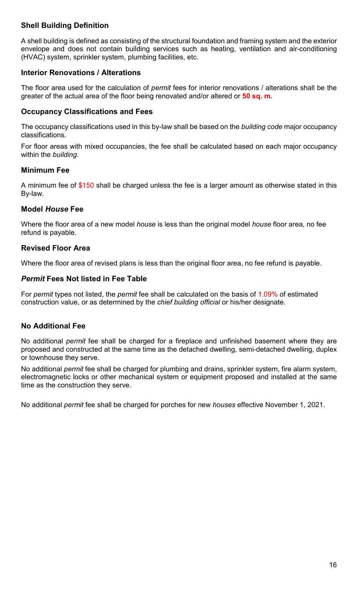## **Shell Building Definition**

A shell building is defined as consisting of the structural foundation and framing system and the exterior envelope and does not contain building services such as heating, ventilation and air-conditioning (HVAC) system, sprinkler system, plumbing facilities, etc.

#### **Interior Renovations / Alterations**

The floor area used for the calculation of *permit* fees for interior renovations / alterations shall be the greater of the actual area of the floor being renovated and/or altered or **50 sq. m.**

#### **Occupancy Classifications and Fees**

The occupancy classifications used in this by-law shall be based on the *building code* major occupancy classifications.

For floor areas with mixed occupancies, the fee shall be calculated based on each major occupancy within the *building*.

#### **Minimum Fee**

A minimum fee of \$150 shall be charged unless the fee is a larger amount as otherwise stated in this By-law.

#### **Model** *House* **Fee**

Where the floor area of a new model *house* is less than the original model *house* floor area, no fee refund is payable.

#### **Revised Floor Area**

Where the floor area of revised plans is less than the original floor area, no fee refund is payable.

#### *Permit* **Fees Not listed in Fee Table**

For *permit* types not listed, the *permit* fee shall be calculated on the basis of 1.09% of estimated construction value, or as determined by the *chief building official* or his/her designate.

#### **No Additional Fee**

No additional *permit* fee shall be charged for a fireplace and unfinished basement where they are proposed and constructed at the same time as the detached dwelling, semi-detached dwelling, duplex or townhouse they serve.

No additional *permit* fee shall be charged for plumbing and drains, sprinkler system, fire alarm system, electromagnetic locks or other mechanical system or equipment proposed and installed at the same time as the construction they serve.

No additional *permit* fee shall be charged for porches for new *houses* effective November 1, 2021.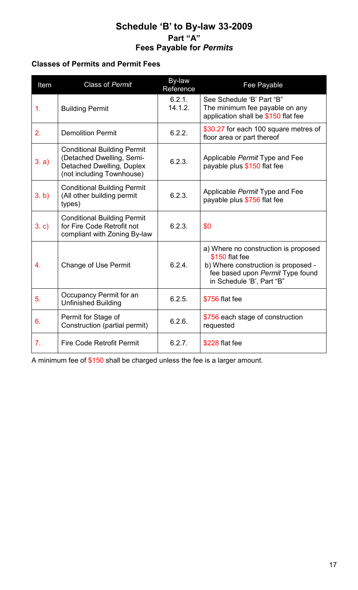## **Schedule 'B' to By-law 33-2009 Part "A" Fees Payable for** *Permits*

## **Classes of Permits and Permit Fees**

| Item  | <b>Class of Permit</b>                                                                                                    | By-law<br>Reference | Fee Payable                                                                                                                                                    |
|-------|---------------------------------------------------------------------------------------------------------------------------|---------------------|----------------------------------------------------------------------------------------------------------------------------------------------------------------|
| 1.    | <b>Building Permit</b>                                                                                                    | 6.2.1.<br>14.1.2.   | See Schedule 'B' Part "B"<br>The minimum fee payable on any<br>application shall be \$150 flat fee                                                             |
| 2.    | <b>Demolition Permit</b>                                                                                                  | 6.2.2.              | \$30.27 for each 100 square metres of<br>floor area or part thereof                                                                                            |
| 3. a) | <b>Conditional Building Permit</b><br>(Detached Dwelling, Semi-<br>Detached Dwelling, Duplex<br>(not including Townhouse) | 6.2.3.              | Applicable Permit Type and Fee<br>payable plus \$150 flat fee                                                                                                  |
| 3. b) | <b>Conditional Building Permit</b><br>(All other building permit<br>types)                                                | 6.2.3.              | Applicable Permit Type and Fee<br>payable plus \$756 flat fee                                                                                                  |
| 3. c) | <b>Conditional Building Permit</b><br>for Fire Code Retrofit not<br>compliant with Zoning By-law                          | 6.2.3.              | \$0                                                                                                                                                            |
| 4.    | <b>Change of Use Permit</b>                                                                                               | 6.2.4               | a) Where no construction is proposed<br>\$150 flat fee<br>b) Where construction is proposed -<br>fee based upon Permit Type found<br>in Schedule 'B', Part "B" |
| 5.    | Occupancy Permit for an<br><b>Unfinished Building</b>                                                                     | 6.2.5.              | \$756 flat fee                                                                                                                                                 |
| 6.    | Permit for Stage of<br>Construction (partial permit)                                                                      | 6.2.6.              | \$756 each stage of construction<br>requested                                                                                                                  |
| 7.    | <b>Fire Code Retrofit Permit</b>                                                                                          | 6.2.7.              | \$228 flat fee                                                                                                                                                 |

A minimum fee of \$150 shall be charged unless the fee is a larger amount.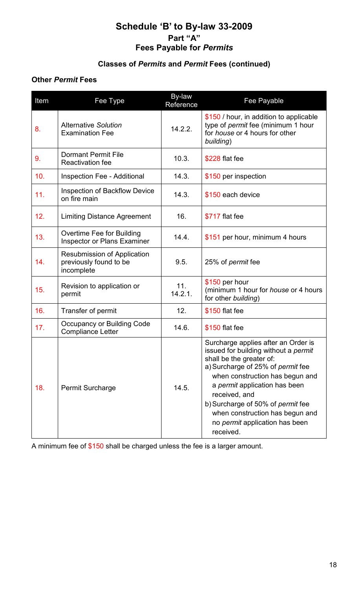## **Schedule 'B' to By-law 33-2009 Part "A" Fees Payable for** *Permits*

## **Classes of** *Permits* **and** *Permit* **Fees (continued)**

### **Other** *Permit* **Fees**

| Item | Fee Type                                                                   | By-law<br>Reference | Fee Payable                                                                                                                                                                                                                                                                                                                                                            |
|------|----------------------------------------------------------------------------|---------------------|------------------------------------------------------------------------------------------------------------------------------------------------------------------------------------------------------------------------------------------------------------------------------------------------------------------------------------------------------------------------|
| 8.   | <b>Alternative Solution</b><br><b>Examination Fee</b>                      | 14.2.2.             | \$150 / hour, in addition to applicable<br>type of <i>permit</i> fee (minimum 1 hour<br>for <i>house</i> or 4 hours for other<br>building)                                                                                                                                                                                                                             |
| 9.   | <b>Dormant Permit File</b><br><b>Reactivation fee</b>                      | 10.3.               | \$228 flat fee                                                                                                                                                                                                                                                                                                                                                         |
| 10.  | <b>Inspection Fee - Additional</b>                                         | 14.3.               | \$150 per inspection                                                                                                                                                                                                                                                                                                                                                   |
| 11.  | <b>Inspection of Backflow Device</b><br>on fire main                       | 14.3.               | \$150 each device                                                                                                                                                                                                                                                                                                                                                      |
| 12.  | <b>Limiting Distance Agreement</b>                                         | 16.                 | \$717 flat fee                                                                                                                                                                                                                                                                                                                                                         |
| 13.  | Overtime Fee for Building<br><b>Inspector or Plans Examiner</b>            | 14.4.               | \$151 per hour, minimum 4 hours                                                                                                                                                                                                                                                                                                                                        |
| 14.  | <b>Resubmission of Application</b><br>previously found to be<br>incomplete | 9.5.                | 25% of <i>permit</i> fee                                                                                                                                                                                                                                                                                                                                               |
| 15.  | Revision to application or<br>permit                                       | 11.<br>14.2.1.      | \$150 per hour<br>(minimum 1 hour for house or 4 hours<br>for other building)                                                                                                                                                                                                                                                                                          |
| 16.  | Transfer of permit                                                         | 12.                 | \$150 flat fee                                                                                                                                                                                                                                                                                                                                                         |
| 17.  | Occupancy or Building Code<br><b>Compliance Letter</b>                     | 14.6.               | \$150 flat fee                                                                                                                                                                                                                                                                                                                                                         |
| 18.  | <b>Permit Surcharge</b>                                                    | 14.5.               | Surcharge applies after an Order is<br>issued for building without a <i>permit</i><br>shall be the greater of:<br>a) Surcharge of 25% of permit fee<br>when construction has begun and<br>a permit application has been<br>received, and<br>b) Surcharge of 50% of permit fee<br>when construction has begun and<br>no <i>permit</i> application has been<br>received. |

A minimum fee of \$150 shall be charged unless the fee is a larger amount.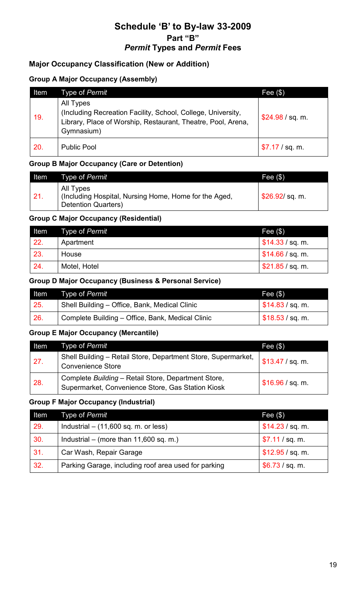## **Schedule 'B' to By-law 33-2009 Part "B"** *Permit* **Types and** *Permit* **Fees**

## **Major Occupancy Classification (New or Addition)**

#### **Group A Major Occupancy (Assembly)**

| Item | Type of Permit                                                                                                                                          | Fee $(\$)$       |
|------|---------------------------------------------------------------------------------------------------------------------------------------------------------|------------------|
| 19.  | All Types<br>(Including Recreation Facility, School, College, University,<br>Library, Place of Worship, Restaurant, Theatre, Pool, Arena,<br>Gymnasium) | \$24.98 / sq. m. |
| 20.  | <b>Public Pool</b>                                                                                                                                      | \$7.17 / sq. m.  |

#### **Group B Major Occupancy (Care or Detention)**

| Item   | Type of Permit                                                                                     | Fee $(\$)$       |
|--------|----------------------------------------------------------------------------------------------------|------------------|
| $-21.$ | All Types<br>  (Including Hospital, Nursing Home, Home for the Aged,<br><b>Detention Quarters)</b> | $$26.92$ /sq. m. |

#### **Group C Major Occupancy (Residential)**

| Item | Type of Permit | Fee $($ \$)                    |
|------|----------------|--------------------------------|
| 22.  | Apartment      | $\frac{1}{2}$ \$14.33 / sq. m. |
| 23.  | House          | $\frac{1}{2}$ \$14.66 / sq. m. |
| 24.  | Motel, Hotel   | \$21.85 / sq. m.               |

#### **Group D Major Occupancy (Business & Personal Service)**

| Item | Type of <i>Permit</i>                            | Fee(3)                         |
|------|--------------------------------------------------|--------------------------------|
| 25.  | Shell Building – Office, Bank, Medical Clinic    | $\frac{1}{2}$ \$14.83 / sq. m. |
| 26.  | Complete Building - Office, Bank, Medical Clinic | $\frac{1}{2}$ \$18.53 / sq. m. |

#### **Group E Major Occupancy (Mercantile)**

| Item | Type of Permit                                                                                           | Fee $(\$)$       |
|------|----------------------------------------------------------------------------------------------------------|------------------|
| 27.  | Shell Building - Retail Store, Department Store, Supermarket,<br><b>Convenience Store</b>                | \$13.47 / sq. m. |
| 28.  | Complete Building - Retail Store, Department Store,<br>Supermarket, Convenience Store, Gas Station Kiosk | \$16.96 / sq. m. |

#### **Group F Major Occupancy (Industrial)**

| Item | Type of Permit                                       | Fee $(\$)$       |
|------|------------------------------------------------------|------------------|
| 29.  | Industrial $-$ (11,600 sq. m. or less)               | \$14.23 / sq. m. |
| 30.  | Industrial – (more than $11,600$ sq. m.)             | \$7.11 / sq. m.  |
| 31.  | Car Wash, Repair Garage                              | \$12.95 / sq. m. |
| 32.  | Parking Garage, including roof area used for parking | \$6.73 / sq. m.  |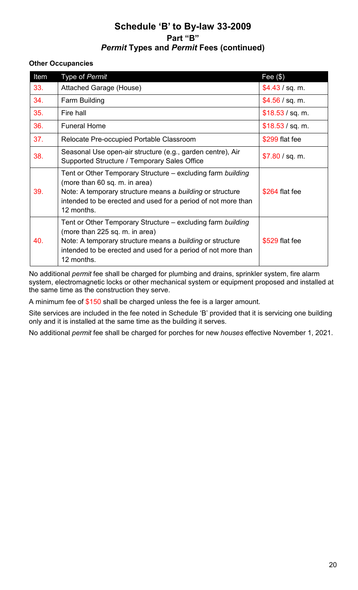## **Schedule 'B' to By-law 33-2009 Part "B"** *Permit* **Types and** *Permit* **Fees (continued)**

#### **Other Occupancies**

| Item | Type of Permit                                                                                                                                                                                                                            | Fee $(\$)$       |
|------|-------------------------------------------------------------------------------------------------------------------------------------------------------------------------------------------------------------------------------------------|------------------|
| 33.  | <b>Attached Garage (House)</b>                                                                                                                                                                                                            | \$4.43 / sq. m.  |
| 34.  | Farm Building                                                                                                                                                                                                                             | \$4.56 / sq. m.  |
| 35.  | Fire hall                                                                                                                                                                                                                                 | \$18.53 / sq. m. |
| 36.  | <b>Funeral Home</b>                                                                                                                                                                                                                       | \$18.53 / sq. m. |
| 37.  | Relocate Pre-occupied Portable Classroom                                                                                                                                                                                                  | \$299 flat fee   |
| 38.  | Seasonal Use open-air structure (e.g., garden centre), Air<br>Supported Structure / Temporary Sales Office                                                                                                                                | \$7.80 / sq. m.  |
| 39.  | Tent or Other Temporary Structure – excluding farm building<br>(more than 60 sq. m. in area)<br>Note: A temporary structure means a building or structure<br>intended to be erected and used for a period of not more than<br>12 months.  | \$264 flat fee   |
| 40.  | Tent or Other Temporary Structure – excluding farm building<br>(more than 225 sq. m. in area)<br>Note: A temporary structure means a building or structure<br>intended to be erected and used for a period of not more than<br>12 months. | \$529 flat fee   |

No additional *permit* fee shall be charged for plumbing and drains, sprinkler system, fire alarm system, electromagnetic locks or other mechanical system or equipment proposed and installed at the same time as the construction they serve.

A minimum fee of \$150 shall be charged unless the fee is a larger amount.

Site services are included in the fee noted in Schedule 'B' provided that it is servicing one building only and it is installed at the same time as the building it serves.

No additional *permit* fee shall be charged for porches for new *houses* effective November 1, 2021.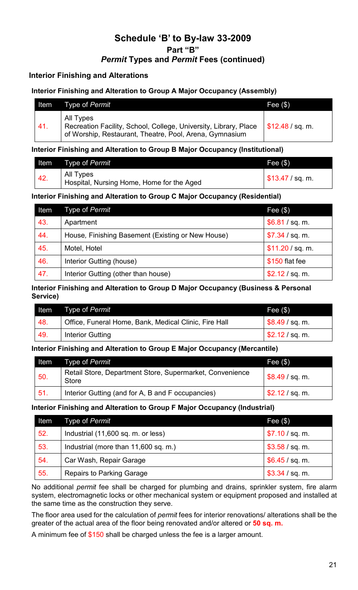## **Schedule 'B' to By-law 33-2009 Part "B"** *Permit* **Types and** *Permit* **Fees (continued)**

### **Interior Finishing and Alterations**

#### **Interior Finishing and Alteration to Group A Major Occupancy (Assembly)**

| <b>Altem</b> | Type of Permit                                                                                                                           | Fee $(\$)$                     |
|--------------|------------------------------------------------------------------------------------------------------------------------------------------|--------------------------------|
| $-41.$       | All Types<br>Recreation Facility, School, College, University, Library, Place<br>of Worship, Restaurant, Theatre, Pool, Arena, Gymnasium | $\frac{1}{2}$ \$12.48 / sq. m. |

#### **Interior Finishing and Alteration to Group B Major Occupancy (Institutional)**

|                   | Item Type of Permit                                    | Fee $(\$)$       |
|-------------------|--------------------------------------------------------|------------------|
| $\overline{42}$ . | All Types<br>Hospital, Nursing Home, Home for the Aged | \$13.47 / sq. m. |

#### **Interior Finishing and Alteration to Group C Major Occupancy (Residential)**

| Item | Type of Permit                                    | Fee $(\$)$       |
|------|---------------------------------------------------|------------------|
| 43.  | Apartment                                         | \$6.81 / sq. m.  |
| 44.  | House, Finishing Basement (Existing or New House) | \$7.34 / sq. m.  |
| 45.  | Motel, Hotel                                      | \$11.20 / sq. m. |
| 46.  | Interior Gutting (house)                          | \$150 flat fee   |
| 47.  | Interior Gutting (other than house)               | \$2.12 / sq. m.  |

#### **Interior Finishing and Alteration to Group D Major Occupancy (Business & Personal Service)**

| ltem | Type of Permit                                        | Fee $(\$)$      |
|------|-------------------------------------------------------|-----------------|
| 48.  | Office, Funeral Home, Bank, Medical Clinic, Fire Hall | \$8.49 / sq. m. |
| 49.  | Interior Gutting                                      | \$2.12 / sq. m. |

#### **Interior Finishing and Alteration to Group E Major Occupancy (Mercantile)**

| Item | Type of <i>Permit</i>                                             | Fee $(\$)$      |
|------|-------------------------------------------------------------------|-----------------|
| 50.  | Retail Store, Department Store, Supermarket, Convenience<br>Store | \$8.49 / sq. m. |
| 51   | Interior Gutting (and for A, B and F occupancies)                 | \$2.12 / sq. m. |

#### **Interior Finishing and Alteration to Group F Major Occupancy (Industrial)**

| Item | Type of Permit                       | Fee $(\$)$      |
|------|--------------------------------------|-----------------|
| 52.  | Industrial (11,600 sq. m. or less)   | \$7.10 / sq. m. |
| 53.  | Industrial (more than 11,600 sq. m.) | \$3.58 / sq. m. |
| 54.  | Car Wash, Repair Garage              | \$6.45 / sq. m. |
| 55.  | <b>Repairs to Parking Garage</b>     | \$3.34 / sq. m. |

No additional *permit* fee shall be charged for plumbing and drains, sprinkler system, fire alarm system, electromagnetic locks or other mechanical system or equipment proposed and installed at the same time as the construction they serve.

The floor area used for the calculation of *permit* fees for interior renovations/ alterations shall be the greater of the actual area of the floor being renovated and/or altered or **50 sq. m.**

A minimum fee of \$150 shall be charged unless the fee is a larger amount.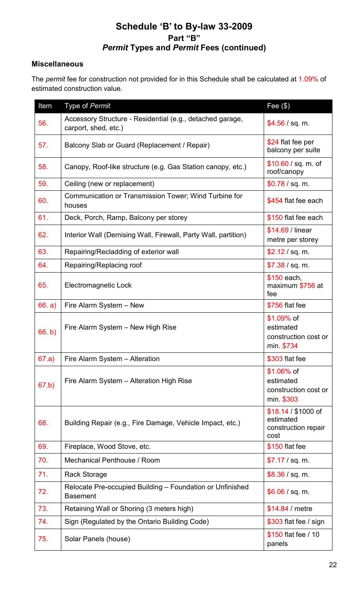## **Schedule 'B' to By-law 33-2009 Part "B"** *Permit* **Types and** *Permit* **Fees (continued)**

### **Miscellaneous**

The *permit* fee for construction not provided for in this Schedule shall be calculated at 1.09% of estimated construction value.

| Item   | Type of Permit                                                                    | Fee $(\$)$                                                      |
|--------|-----------------------------------------------------------------------------------|-----------------------------------------------------------------|
| 56.    | Accessory Structure - Residential (e.g., detached garage,<br>carport, shed, etc.) | \$4.56 / sq. m.                                                 |
| 57.    | Balcony Slab or Guard (Replacement / Repair)                                      | \$24 flat fee per<br>balcony per suite                          |
| 58.    | Canopy, Roof-like structure (e.g. Gas Station canopy, etc.)                       | \$10.60 / sq. m. of<br>roof/canopy                              |
| 59.    | Ceiling (new or replacement)                                                      | \$0.78 / sq. m.                                                 |
| 60.    | Communication or Transmission Tower; Wind Turbine for<br>houses                   | \$454 flat fee each                                             |
| 61.    | Deck, Porch, Ramp, Balcony per storey                                             | \$150 flat fee each                                             |
| 62.    | Interior Wall (Demising Wall, Firewall, Party Wall, partition)                    | \$14.69 / linear<br>metre per storey                            |
| 63.    | Repairing/Recladding of exterior wall                                             | \$2.12 / sq. m.                                                 |
| 64.    | Repairing/Replacing roof                                                          | \$7.38 / sq. m.                                                 |
| 65.    | Electromagnetic Lock                                                              | \$150 each,<br>maximum \$756 at<br>fee                          |
| 66. a) | Fire Alarm System - New                                                           | \$756 flat fee                                                  |
| 66. b) | Fire Alarm System - New High Rise                                                 | $$1.09\%$ of<br>estimated<br>construction cost or<br>min. \$734 |
| 67.a)  | Fire Alarm System - Alteration                                                    | \$303 flat fee                                                  |
| 67.b)  | Fire Alarm System - Alteration High Rise                                          | $$1.06\%$ of<br>estimated<br>construction cost or<br>min. \$303 |
| 68.    | Building Repair (e.g., Fire Damage, Vehicle Impact, etc.)                         | $$18.14 / $1000$ of<br>estimated<br>construction repair<br>cost |
| 69.    | Fireplace, Wood Stove, etc.                                                       | \$150 flat fee                                                  |
| 70.    | Mechanical Penthouse / Room                                                       | \$7.17 / sq. m.                                                 |
| 71.    | <b>Rack Storage</b>                                                               | \$8.36 / sq. m.                                                 |
| 72.    | Relocate Pre-occupied Building - Foundation or Unfinished<br><b>Basement</b>      | \$6.06 / sq. m.                                                 |
| 73.    | Retaining Wall or Shoring (3 meters high)                                         | \$14.84 / metre                                                 |
| 74.    | Sign (Regulated by the Ontario Building Code)                                     | \$303 flat fee / sign                                           |
| 75.    | Solar Panels (house)                                                              | \$150 flat fee / 10<br>panels                                   |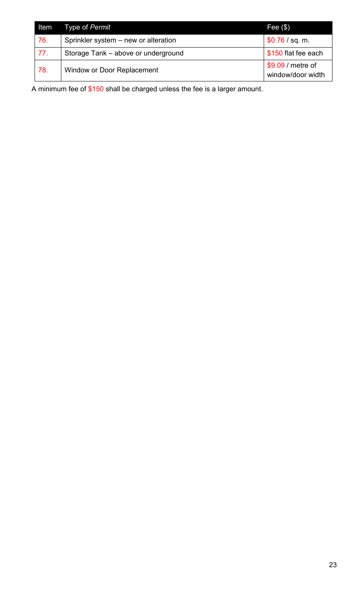| <b>Item</b> | Type of Permit                       | Fee $(\$)$                             |
|-------------|--------------------------------------|----------------------------------------|
| 76.         | Sprinkler system – new or alteration | \$0.76 / sq. m.                        |
| 77.         | Storage Tank – above or underground  | \$150 flat fee each                    |
| 78.         | <b>Window or Door Replacement</b>    | \$9.09 / metre of<br>window/door width |

A minimum fee of \$150 shall be charged unless the fee is a larger amount.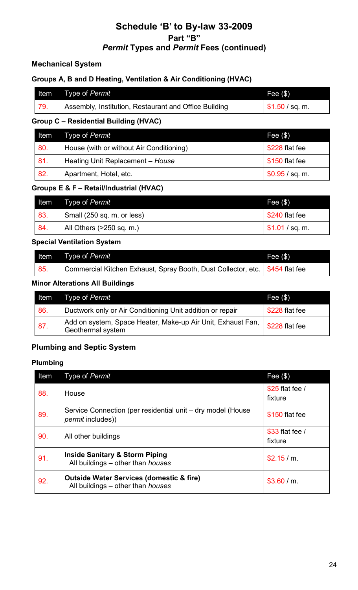## **Schedule 'B' to By-law 33-2009 Part "B"** *Permit* **Types and** *Permit* **Fees (continued)**

## **Mechanical System**

### **Groups A, B and D Heating, Ventilation & Air Conditioning (HVAC)**

|     | Item Type of Permit                                   | Fee $(\$)$                    |
|-----|-------------------------------------------------------|-------------------------------|
| 79. | Assembly, Institution, Restaurant and Office Building | $\frac{1}{2}$ \$1.50 / sq. m. |

#### **Group C – Residential Building (HVAC)**

|     | Item Type of Permit                      | Fee $(\$)$      |
|-----|------------------------------------------|-----------------|
| 80. | House (with or without Air Conditioning) | \$228 flat fee  |
| 81. | Heating Unit Replacement - House         | \$150 flat fee  |
| 82. | Apartment, Hotel, etc.                   | \$0.95 / sq. m. |

#### **Groups E & F – Retail/Industrial (HVAC)**

|     | <b>Item</b> Type of <i>Permit</i> | Fee $(\$)$                    |
|-----|-----------------------------------|-------------------------------|
| 83. | Small (250 sq. m. or less)        | \$240 flat fee                |
| 84. | All Others (>250 sq. m.)          | $\frac{1}{2}$ \$1.01 / sq. m. |

#### **Special Ventilation System**

|     | Item Type of Permit                                                            | Fee $(\$)$ |
|-----|--------------------------------------------------------------------------------|------------|
| 85. | Commercial Kitchen Exhaust, Spray Booth, Dust Collector, etc.   \$454 flat fee |            |

#### **Minor Alterations All Buildings**

| Item | Type of <i>Permit</i>                                                            | Fee $(\$)$     |
|------|----------------------------------------------------------------------------------|----------------|
| 86.  | Ductwork only or Air Conditioning Unit addition or repair                        | \$228 flat fee |
| 87.  | Add on system, Space Heater, Make-up Air Unit, Exhaust Fan,<br>Geothermal system | \$228 flat fee |

## **Plumbing and Septic System**

### **Plumbing**

| Item | Type of Permit                                                                                  | Fee $(\$)$                 |
|------|-------------------------------------------------------------------------------------------------|----------------------------|
| 88.  | House                                                                                           | \$25 flat fee /<br>fixture |
| 89.  | Service Connection (per residential unit – dry model (House<br><i>permit</i> includes))         | \$150 flat fee             |
| 90.  | All other buildings                                                                             | \$33 flat fee /<br>fixture |
| 91.  | <b>Inside Sanitary &amp; Storm Piping</b><br>All buildings - other than <i>houses</i>           | \$2.15/m.                  |
| 92.  | <b>Outside Water Services (domestic &amp; fire)</b><br>All buildings – other than <i>houses</i> | \$3.60/m.                  |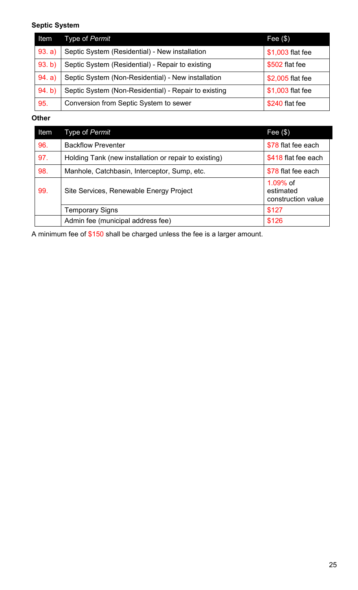## **Septic System**

| Item   | Type of Permit                                                           | Fee $(\$)$     |
|--------|--------------------------------------------------------------------------|----------------|
| 93. a) | Septic System (Residential) - New installation<br>\$1,003 flat fee       |                |
| 93. b) | Septic System (Residential) - Repair to existing<br>\$502 flat fee       |                |
| 94. a) | Septic System (Non-Residential) - New installation<br>\$2,005 flat fee   |                |
| 94. b) | Septic System (Non-Residential) - Repair to existing<br>\$1,003 flat fee |                |
| 95.    | Conversion from Septic System to sewer                                   | \$240 flat fee |

#### **Other**

| Item | Type of Permit                                                               | Fee $(\$)$                                  |
|------|------------------------------------------------------------------------------|---------------------------------------------|
| 96.  | <b>Backflow Preventer</b>                                                    | \$78 flat fee each                          |
| 97.  | \$418 flat fee each<br>Holding Tank (new installation or repair to existing) |                                             |
| 98.  | \$78 flat fee each<br>Manhole, Catchbasin, Interceptor, Sump, etc.           |                                             |
| 99.  | Site Services, Renewable Energy Project                                      | 1.09% of<br>estimated<br>construction value |
|      | <b>Temporary Signs</b>                                                       | \$127                                       |
|      | Admin fee (municipal address fee)                                            | \$126                                       |

A minimum fee of \$150 shall be charged unless the fee is a larger amount.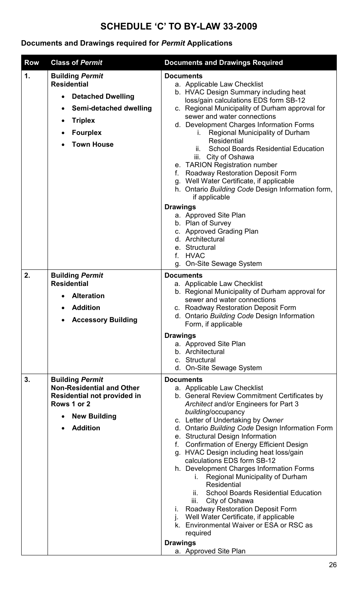# **SCHEDULE 'C' TO BY-LAW 33-2009**

## **Documents and Drawings required for** *Permit* **Applications**

| <b>Row</b> | <b>Class of Permit</b>                                                                                                                                                    | <b>Documents and Drawings Required</b>                                                                                                                                                                                                                                                                                                                                                                                                                                                                                                                                                                                                                                                                                                                                                                                        |
|------------|---------------------------------------------------------------------------------------------------------------------------------------------------------------------------|-------------------------------------------------------------------------------------------------------------------------------------------------------------------------------------------------------------------------------------------------------------------------------------------------------------------------------------------------------------------------------------------------------------------------------------------------------------------------------------------------------------------------------------------------------------------------------------------------------------------------------------------------------------------------------------------------------------------------------------------------------------------------------------------------------------------------------|
| 1.         | <b>Building Permit</b><br><b>Residential</b><br><b>Detached Dwelling</b><br>Semi-detached dwelling<br><b>Triplex</b><br><b>Fourplex</b><br>$\bullet$<br><b>Town House</b> | <b>Documents</b><br>a. Applicable Law Checklist<br>b. HVAC Design Summary including heat<br>loss/gain calculations EDS form SB-12<br>c. Regional Municipality of Durham approval for<br>sewer and water connections<br>d. Development Charges Information Forms<br>Regional Municipality of Durham<br>İ.<br><b>Residential</b><br><b>School Boards Residential Education</b><br>ii.<br>iii. City of Oshawa<br>e. TARION Registration number<br><b>Roadway Restoration Deposit Form</b><br>g. Well Water Certificate, if applicable<br>h. Ontario Building Code Design Information form,<br>if applicable<br><b>Drawings</b><br>a. Approved Site Plan<br>b. Plan of Survey<br>c. Approved Grading Plan                                                                                                                         |
|            |                                                                                                                                                                           | d. Architectural<br>e. Structural<br>f. HVAC<br><b>On-Site Sewage System</b><br>g.                                                                                                                                                                                                                                                                                                                                                                                                                                                                                                                                                                                                                                                                                                                                            |
| 2.         | <b>Building Permit</b><br><b>Residential</b><br><b>Alteration</b><br><b>Addition</b><br><b>Accessory Building</b>                                                         | <b>Documents</b><br>a. Applicable Law Checklist<br>b. Regional Municipality of Durham approval for<br>sewer and water connections<br>c. Roadway Restoration Deposit Form<br>d. Ontario Building Code Design Information<br>Form, if applicable                                                                                                                                                                                                                                                                                                                                                                                                                                                                                                                                                                                |
|            |                                                                                                                                                                           | <b>Drawings</b><br>a. Approved Site Plan<br>b. Architectural<br>c. Structural<br>d. On-Site Sewage System                                                                                                                                                                                                                                                                                                                                                                                                                                                                                                                                                                                                                                                                                                                     |
| 3.         | <b>Building Permit</b><br><b>Non-Residential and Other</b><br>Residential not provided in<br>Rows 1 or 2<br><b>New Building</b><br><b>Addition</b>                        | <b>Documents</b><br>a. Applicable Law Checklist<br>b. General Review Commitment Certificates by<br>Architect and/or Engineers for Part 3<br>building/occupancy<br>c. Letter of Undertaking by Owner<br>d. Ontario Building Code Design Information Form<br>e. Structural Design Information<br><b>Confirmation of Energy Efficient Design</b><br>f.<br>g. HVAC Design including heat loss/gain<br>calculations EDS form SB-12<br>h. Development Charges Information Forms<br>Regional Municipality of Durham<br>İ.<br><b>Residential</b><br><b>School Boards Residential Education</b><br>ii.<br>City of Oshawa<br>Ш.<br><b>Roadway Restoration Deposit Form</b><br>$\mathbf{L}$<br>Well Water Certificate, if applicable<br>k. Environmental Waiver or ESA or RSC as<br>required<br><b>Drawings</b><br>a. Approved Site Plan |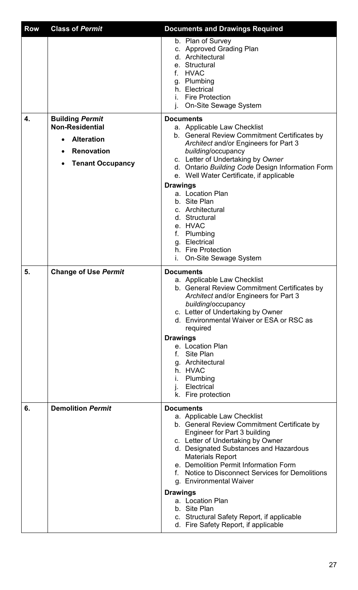| <b>Row</b> | <b>Class of Permit</b>                           | <b>Documents and Drawings Required</b>                                                                                                                                                                                                                                                                                                                                                                                                                                                    |
|------------|--------------------------------------------------|-------------------------------------------------------------------------------------------------------------------------------------------------------------------------------------------------------------------------------------------------------------------------------------------------------------------------------------------------------------------------------------------------------------------------------------------------------------------------------------------|
|            |                                                  | b. Plan of Survey<br>c. Approved Grading Plan<br>d. Architectural<br>e. Structural<br>f. HVAC<br>g. Plumbing<br>h. Electrical<br><b>Fire Protection</b><br>i.<br><b>On-Site Sewage System</b>                                                                                                                                                                                                                                                                                             |
| 4.         | <b>Building Permit</b><br><b>Non-Residential</b> | <b>Documents</b><br>a. Applicable Law Checklist                                                                                                                                                                                                                                                                                                                                                                                                                                           |
|            | <b>Alteration</b>                                | b. General Review Commitment Certificates by<br>Architect and/or Engineers for Part 3                                                                                                                                                                                                                                                                                                                                                                                                     |
|            | <b>Renovation</b>                                | building/occupancy<br>c. Letter of Undertaking by Owner                                                                                                                                                                                                                                                                                                                                                                                                                                   |
|            | <b>Tenant Occupancy</b>                          | d. Ontario Building Code Design Information Form                                                                                                                                                                                                                                                                                                                                                                                                                                          |
|            |                                                  | e. Well Water Certificate, if applicable<br><b>Drawings</b>                                                                                                                                                                                                                                                                                                                                                                                                                               |
|            |                                                  | a. Location Plan<br>b. Site Plan<br>c. Architectural<br>d. Structural<br>e. HVAC<br>f. Plumbing<br>g. Electrical<br>h. Fire Protection<br><b>On-Site Sewage System</b>                                                                                                                                                                                                                                                                                                                    |
| 5.         | <b>Change of Use Permit</b>                      | <b>Documents</b><br>a. Applicable Law Checklist<br>b. General Review Commitment Certificates by<br>Architect and/or Engineers for Part 3<br>building/occupancy<br>c. Letter of Undertaking by Owner<br>d. Environmental Waiver or ESA or RSC as<br>required                                                                                                                                                                                                                               |
|            |                                                  | <b>Drawings</b>                                                                                                                                                                                                                                                                                                                                                                                                                                                                           |
|            |                                                  | e. Location Plan<br>f. Site Plan<br>g. Architectural<br>h. HVAC<br>i. Plumbing<br>Electrical<br>k. Fire protection                                                                                                                                                                                                                                                                                                                                                                        |
| 6.         | <b>Demolition Permit</b>                         | <b>Documents</b>                                                                                                                                                                                                                                                                                                                                                                                                                                                                          |
|            |                                                  | a. Applicable Law Checklist<br>b. General Review Commitment Certificate by<br>Engineer for Part 3 building<br>c. Letter of Undertaking by Owner<br>d. Designated Substances and Hazardous<br><b>Materials Report</b><br>e. Demolition Permit Information Form<br>f. Notice to Disconnect Services for Demolitions<br>g. Environmental Waiver<br><b>Drawings</b><br>a. Location Plan<br>b. Site Plan<br>c. Structural Safety Report, if applicable<br>d. Fire Safety Report, if applicable |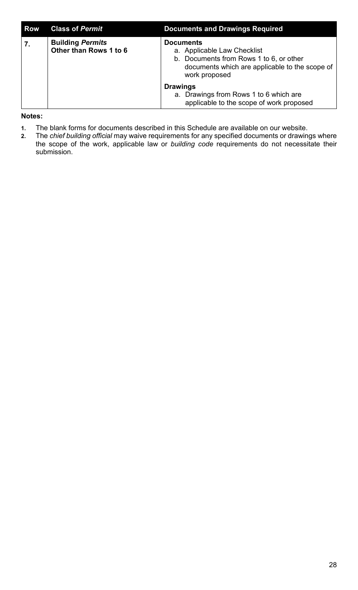| <b>Row</b> | <b>Class of Permit</b>                            | <b>Documents and Drawings Required</b>                                                                                                                        |
|------------|---------------------------------------------------|---------------------------------------------------------------------------------------------------------------------------------------------------------------|
|            | <b>Building Permits</b><br>Other than Rows 1 to 6 | <b>Documents</b><br>a. Applicable Law Checklist<br>b. Documents from Rows 1 to 6, or other<br>documents which are applicable to the scope of<br>work proposed |
|            |                                                   | <b>Drawings</b><br>a. Drawings from Rows 1 to 6 which are<br>applicable to the scope of work proposed                                                         |

#### **Notes:**

- **1.** The blank forms for documents described in this Schedule are available on our website.
- **2.** The *chief building official* may waive requirements for any specified documents or drawings where the scope of the work, applicable law or *building code* requirements do not necessitate their submission.